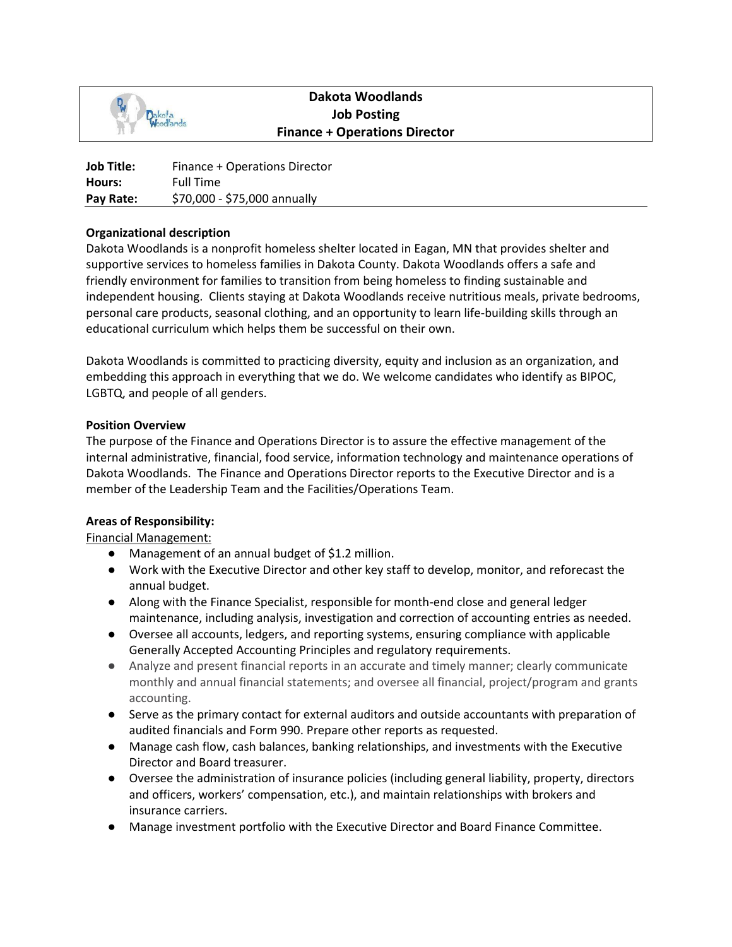

# **Dakota Woodlands Job Posting Finance + Operations Director**

| Job Title: | Finance + Operations Director |
|------------|-------------------------------|
| Hours:     | <b>Full Time</b>              |
| Pay Rate:  | \$70,000 - \$75,000 annually  |

## **Organizational description**

Dakota Woodlands is a nonprofit homeless shelter located in Eagan, MN that provides shelter and supportive services to homeless families in Dakota County. Dakota Woodlands offers a safe and friendly environment for families to transition from being homeless to finding sustainable and independent housing. Clients staying at Dakota Woodlands receive nutritious meals, private bedrooms, personal care products, seasonal clothing, and an opportunity to learn life-building skills through an educational curriculum which helps them be successful on their own.

Dakota Woodlands is committed to practicing diversity, equity and inclusion as an organization, and embedding this approach in everything that we do. We welcome candidates who identify as BIPOC, LGBTQ, and people of all genders.

### **Position Overview**

The purpose of the Finance and Operations Director is to assure the effective management of the internal administrative, financial, food service, information technology and maintenance operations of Dakota Woodlands. The Finance and Operations Director reports to the Executive Director and is a member of the Leadership Team and the Facilities/Operations Team.

#### **Areas of Responsibility:**

Financial Management:

- Management of an annual budget of \$1.2 million.
- Work with the Executive Director and other key staff to develop, monitor, and reforecast the annual budget.
- Along with the Finance Specialist, responsible for month-end close and general ledger maintenance, including analysis, investigation and correction of accounting entries as needed.
- Oversee all accounts, ledgers, and reporting systems, ensuring compliance with applicable Generally Accepted Accounting Principles and regulatory requirements.
- Analyze and present financial reports in an accurate and timely manner; clearly communicate monthly and annual financial statements; and oversee all financial, project/program and grants accounting.
- Serve as the primary contact for external auditors and outside accountants with preparation of audited financials and Form 990. Prepare other reports as requested.
- Manage cash flow, cash balances, banking relationships, and investments with the Executive Director and Board treasurer.
- Oversee the administration of insurance policies (including general liability, property, directors and officers, workers' compensation, etc.), and maintain relationships with brokers and insurance carriers.
- Manage investment portfolio with the Executive Director and Board Finance Committee.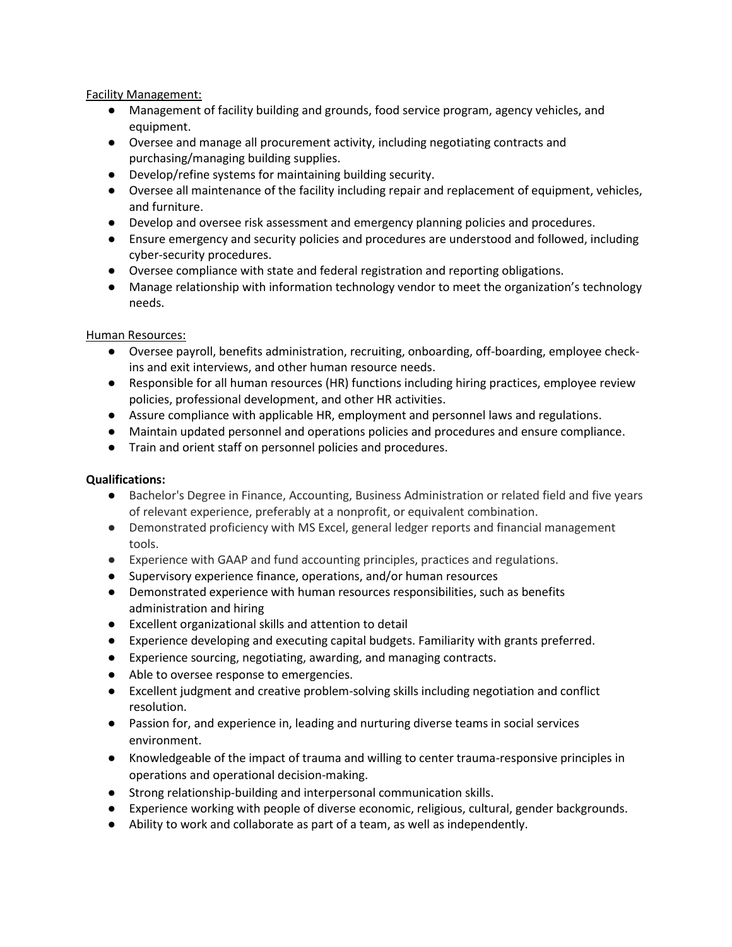Facility Management:

- Management of facility building and grounds, food service program, agency vehicles, and equipment.
- Oversee and manage all procurement activity, including negotiating contracts and purchasing/managing building supplies.
- Develop/refine systems for maintaining building security.
- Oversee all maintenance of the facility including repair and replacement of equipment, vehicles, and furniture.
- Develop and oversee risk assessment and emergency planning policies and procedures.
- Ensure emergency and security policies and procedures are understood and followed, including cyber-security procedures.
- Oversee compliance with state and federal registration and reporting obligations.
- Manage relationship with information technology vendor to meet the organization's technology needs.

## Human Resources:

- Oversee payroll, benefits administration, recruiting, onboarding, off-boarding, employee checkins and exit interviews, and other human resource needs.
- Responsible for all human resources (HR) functions including hiring practices, employee review policies, professional development, and other HR activities.
- Assure compliance with applicable HR, employment and personnel laws and regulations.
- Maintain updated personnel and operations policies and procedures and ensure compliance.
- Train and orient staff on personnel policies and procedures.

## **Qualifications:**

- Bachelor's Degree in Finance, Accounting, Business Administration or related field and five years of relevant experience, preferably at a nonprofit, or equivalent combination.
- Demonstrated proficiency with MS Excel, general ledger reports and financial management tools.
- Experience with GAAP and fund accounting principles, practices and regulations.
- Supervisory experience finance, operations, and/or human resources
- Demonstrated experience with human resources responsibilities, such as benefits administration and hiring
- Excellent organizational skills and attention to detail
- Experience developing and executing capital budgets. Familiarity with grants preferred.
- Experience sourcing, negotiating, awarding, and managing contracts.
- Able to oversee response to emergencies.
- Excellent judgment and creative problem-solving skills including negotiation and conflict resolution.
- Passion for, and experience in, leading and nurturing diverse teams in social services environment.
- Knowledgeable of the impact of trauma and willing to center trauma-responsive principles in operations and operational decision-making.
- Strong relationship-building and interpersonal communication skills.
- Experience working with people of diverse economic, religious, cultural, gender backgrounds.
- Ability to work and collaborate as part of a team, as well as independently.